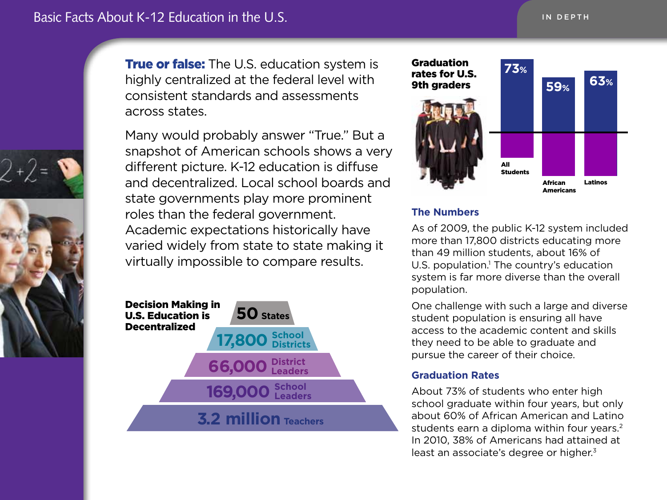

**True or false:** The U.S. education system is highly centralized at the federal level with consistent standards and assessments across states.

Many would probably answer "True." But a snapshot of American schools shows a very different picture. K-12 education is diffuse and decentralized. Local school boards and state governments play more prominent roles than the federal government. Academic expectations historically have varied widely from state to state making it virtually impossible to compare results.





#### **The Numbers**

As of 2009, the public K-12 system included more than 17,800 districts educating more than 49 million students, about 16% of U.S. population.<sup>1</sup> The country's education system is far more diverse than the overall population.

One challenge with such a large and diverse student population is ensuring all have access to the academic content and skills they need to be able to graduate and pursue the career of their choice.

### **Graduation Rates**

About 73% of students who enter high school graduate within four years, but only about 60% of African American and Latino students earn a diploma within four years.<sup>2</sup> In 2010, 38% of Americans had attained at least an associate's degree or higher.<sup>3</sup>